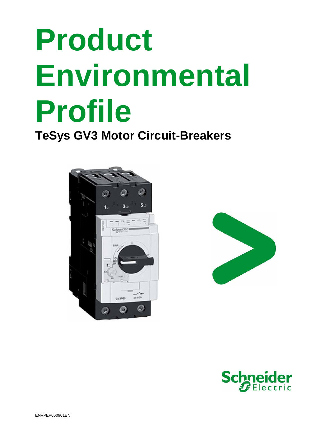**TeSys GV3 Motor Circuit-Breakers** 





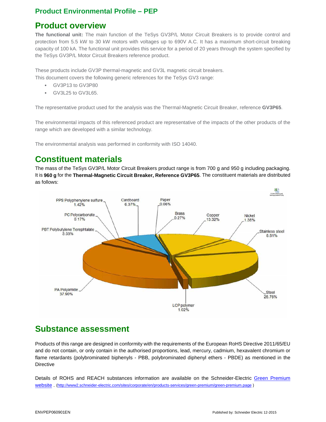#### **Product overview**

**The functional unit:** The main function of the TeSys GV3P/L Motor Circuit Breakers is to provide control and protection from 5.5 kW to 30 kW motors with voltages up to 690V A.C. It has a maximum short-circuit breaking capacity of 100 kA. The functional unit provides this service for a period of 20 years through the system specified by the TeSys GV3P/L Motor Circuit Breakers reference product.

These products include GV3P thermal-magnetic and GV3L magnetic circuit breakers.

This document covers the following generic references for the TeSys GV3 range:

- GV3P13 to GV3P80
- GV3L25 to GV3L65.

The representative product used for the analysis was the Thermal-Magnetic Circuit Breaker, reference **GV3P65**.

The environmental impacts of this referenced product are representative of the impacts of the other products of the range which are developed with a similar technology.

The environmental analysis was performed in conformity with ISO 14040.

## **Constituent materials**

The mass of the TeSys GV3P/L Motor Circuit Breakers product range is from 700 g and 950 g including packaging. It is **960 g** for the **Thermal-Magnetic Circuit Breaker, Reference GV3P65**. The constituent materials are distributed as follows:



### **Substance assessment**

Products of this range are designed in conformity with the requirements of the European RoHS Directive 2011/65/EU and do not contain, or only contain in the authorised proportions, lead, mercury, cadmium, hexavalent chromium or flame retardants (polybrominated biphenyls - PBB, polybrominated diphenyl ethers - PBDE) as mentioned in the **Directive** 

Details of ROHS and REACH substances information are available on the Schneider-Electric Green Premium website . (http://www2.schneider-electric.com/sites/corporate/en/products-services/green-premium/green-premium.page )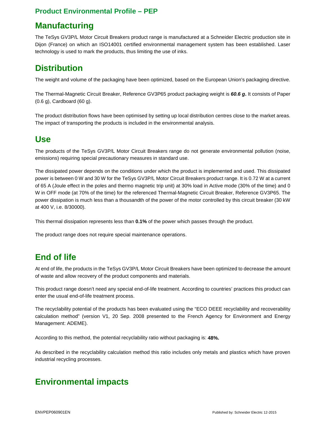# **Manufacturing**

The TeSys GV3P/L Motor Circuit Breakers product range is manufactured at a Schneider Electric production site in Dijon (France) on which an ISO14001 certified environmental management system has been established. Laser technology is used to mark the products, thus limiting the use of inks.

# **Distribution**

The weight and volume of the packaging have been optimized, based on the European Union's packaging directive.

The Thermal-Magnetic Circuit Breaker, Reference GV3P65 product packaging weight is **60.6 g.** It consists of Paper (0.6 g), Cardboard (60 g).

The product distribution flows have been optimised by setting up local distribution centres close to the market areas. The impact of transporting the products is included in the environmental analysis.

#### **Use**

The products of the TeSys GV3P/L Motor Circuit Breakers range do not generate environmental pollution (noise, emissions) requiring special precautionary measures in standard use.

The dissipated power depends on the conditions under which the product is implemented and used. This dissipated power is between 0 W and 30 W for the TeSys GV3P/L Motor Circuit Breakers product range. It is 0.72 W at a current of 65 A (Joule effect in the poles and thermo magnetic trip unit) at 30% load in Active mode (30% of the time) and 0 W in OFF mode (at 70% of the time) for the referenced Thermal-Magnetic Circuit Breaker, Reference GV3P65. The power dissipation is much less than a thousandth of the power of the motor controlled by this circuit breaker (30 kW at 400 V, i.e. 8/30000).

This thermal dissipation represents less than **0.1%** of the power which passes through the product.

The product range does not require special maintenance operations.

# **End of life**

At end of life, the products in the TeSys GV3P/L Motor Circuit Breakers have been optimized to decrease the amount of waste and allow recovery of the product components and materials.

This product range doesn't need any special end-of-life treatment. According to countries' practices this product can enter the usual end-of-life treatment process.

The recyclability potential of the products has been evaluated using the "ECO DEEE recyclability and recoverability calculation method" (version V1, 20 Sep. 2008 presented to the French Agency for Environment and Energy Management: ADEME).

According to this method, the potential recyclability ratio without packaging is: **48%.** 

As described in the recyclability calculation method this ratio includes only metals and plastics which have proven industrial recycling processes.

# **Environmental impacts**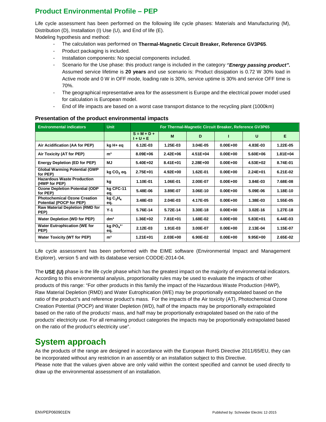Life cycle assessment has been performed on the following life cycle phases: Materials and Manufacturing (M), Distribution (D), Installation (I) Use (U), and End of life (E).

Modeling hypothesis and method:

- The calculation was performed on **Thermal-Magnetic Circuit Breaker, Reference GV3P65**.
- Product packaging is included.
- Installation components: No special components included.
- Scenario for the Use phase: this product range is included in the category "**Energy passing product".** Assumed service lifetime is **20 years** and use scenario is: Product dissipation is 0.72 W 30% load in Active mode and 0 W in OFF mode, loading rate is 30%, service uptime is 30% and service OFF time is 70%.
- The geographical representative area for the assessment is Europe and the electrical power model used for calculation is European model.
- End of life impacts are based on a worst case transport distance to the recycling plant (1000km)

| <b>Environmental indicators</b>                                 | <b>Unit</b>                            | For Thermal-Magnetic Circuit Breaker, Reference GV3P65 |              |          |              |              |              |
|-----------------------------------------------------------------|----------------------------------------|--------------------------------------------------------|--------------|----------|--------------|--------------|--------------|
|                                                                 |                                        | $S = M + D +$<br>l + U + E                             | M            | D        |              | U            | Е            |
| Air Acidification (AA for PEP)                                  | kg H+ eq                               | 6.12E-03                                               | 1.25E-03     | 3.04E-05 | $0.00E + 00$ | 4.83E-03     | 1.22E-05     |
| Air Toxicity (AT for PEP)                                       | m <sup>3</sup>                         | 8.09E+06                                               | $2.42E + 06$ | 4.51E+04 | $0.00E + 00$ | 5.60E+06     | $1.81E + 04$ |
| <b>Energy Depletion (ED for PEP)</b>                            | MJ                                     | 5.40E+02                                               | 8.41E+01     | 2.28E+00 | $0.00E + 00$ | 4.53E+02     | 8.74E-01     |
| <b>Global Warming Potential (GWP</b><br>for PEP)                | kg CO <sub>2</sub> eq.                 | 2.75E+01                                               | 4.92E+00     | 1.62E-01 | $0.00E + 00$ | $2.24E + 01$ | 6.21E-02     |
| <b>Hazardous Waste Production</b><br>(HWP for PEP)              | kg                                     | 1.10E-01                                               | 1.06E-01     | 2.00E-07 | $0.00E + 00$ | 3.84E-03     | 7.68E-08     |
| <b>Ozone Depletion Potential (ODP</b><br>for PEP)               | kg CFC-11<br>eq.                       | 5.48E-06                                               | 3.89E-07     | 3.06E-10 | $0.00E + 00$ | 5.09E-06     | 1.18E-10     |
| <b>Photochemical Ozone Creation</b><br>Potential (POCP for PEP) | kgC <sub>2</sub> H <sub>4</sub><br>eq. | 3.48E-03                                               | 2.04E-03     | 4.17E-05 | $0.00E + 00$ | 1.38E-03     | 1.55E-05     |
| <b>Raw Material Depletion (RMD for</b><br>PEP)                  | $Y-1$                                  | 5.76E-14                                               | 5.72E-14     | 3.30E-18 | $0.00E + 00$ | 3.02E-16     | 1.27E-18     |
| Water Depletion (WD for PEP)                                    | dm <sup>3</sup>                        | 1.36E+02                                               | 7.81E+01     | 1.68E-02 | $0.00E + 00$ | $5.83E+01$   | 6.44E-03     |
| <b>Water Eutrophication (WE for</b><br>PEP)                     | kg $PO_4^3$ <sup>-</sup><br>eq.        | 2.12E-03                                               | 1.91E-03     | 3.00E-07 | $0.00E + 00$ | 2.13E-04     | 1.15E-07     |
| <b>Water Toxicity (WT for PEP)</b>                              | m <sup>3</sup>                         | $1.21E + 01$                                           | $2.03E + 00$ | 6.90E-02 | $0.00E + 00$ | $9.95E + 00$ | 2.65E-02     |

#### **Presentation of the product environmental impacts**

Life cycle assessment has been performed with the EIME software (Environmental Impact and Management Explorer), version 5 and with its database version CODDE-2014-04.

The **USE (U)** phase is the life cycle phase which has the greatest impact on the majority of environmental indicators. According to this environmental analysis, proportionality rules may be used to evaluate the impacts of other products of this range: "For other products in this family the impact of the Hazardous Waste Production (HWP), Raw Material Depletion (RMD) and Water Eutrophication (WE) may be proportionally extrapolated based on the ratio of the product's and reference product's mass. For the impacts of the Air toxicity (AT), Photochemical Ozone Creation Potential (POCP) and Water Depletion (WD), half of the impacts may be proportionally extrapolated based on the ratio of the products' mass, and half may be proportionally extrapolated based on the ratio of the products' electricity use. For all remaining product categories the impacts may be proportionally extrapolated based on the ratio of the product's electricity use".

#### **System approach**

As the products of the range are designed in accordance with the European RoHS Directive 2011/65/EU, they can be incorporated without any restriction in an assembly or an installation subject to this Directive.

Please note that the values given above are only valid within the context specified and cannot be used directly to draw up the environmental assessment of an installation.